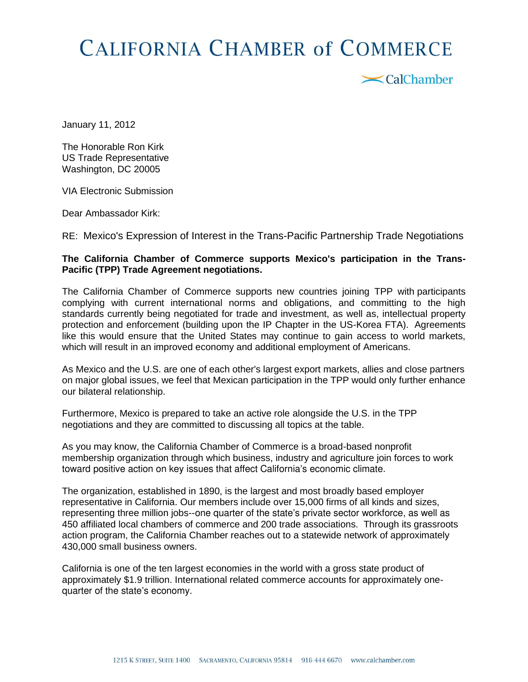## **CALIFORNIA CHAMBER of COMMERCE**

 $\mathbf{X}$ CalChamber

January 11, 2012

The Honorable Ron Kirk US Trade Representative Washington, DC 20005

VIA Electronic Submission

Dear Ambassador Kirk:

RE: Mexico's Expression of Interest in the Trans-Pacific Partnership Trade Negotiations

## **The California Chamber of Commerce supports Mexico's participation in the Trans-Pacific (TPP) Trade Agreement negotiations.**

The California Chamber of Commerce supports new countries joining TPP with participants complying with current international norms and obligations, and committing to the high standards currently being negotiated for trade and investment, as well as, intellectual property protection and enforcement (building upon the IP Chapter in the US-Korea FTA). Agreements like this would ensure that the United States may continue to gain access to world markets, which will result in an improved economy and additional employment of Americans.

As Mexico and the U.S. are one of each other's largest export markets, allies and close partners on major global issues, we feel that Mexican participation in the TPP would only further enhance our bilateral relationship.

Furthermore, Mexico is prepared to take an active role alongside the U.S. in the TPP negotiations and they are committed to discussing all topics at the table.

As you may know, the California Chamber of Commerce is a broad-based nonprofit membership organization through which business, industry and agriculture join forces to work toward positive action on key issues that affect California's economic climate.

The organization, established in 1890, is the largest and most broadly based employer representative in California. Our members include over 15,000 firms of all kinds and sizes, representing three million jobs--one quarter of the state's private sector workforce, as well as 450 affiliated local chambers of commerce and 200 trade associations. Through its grassroots action program, the California Chamber reaches out to a statewide network of approximately 430,000 small business owners.

California is one of the ten largest economies in the world with a gross state product of approximately \$1.9 trillion. International related commerce accounts for approximately onequarter of the state's economy.